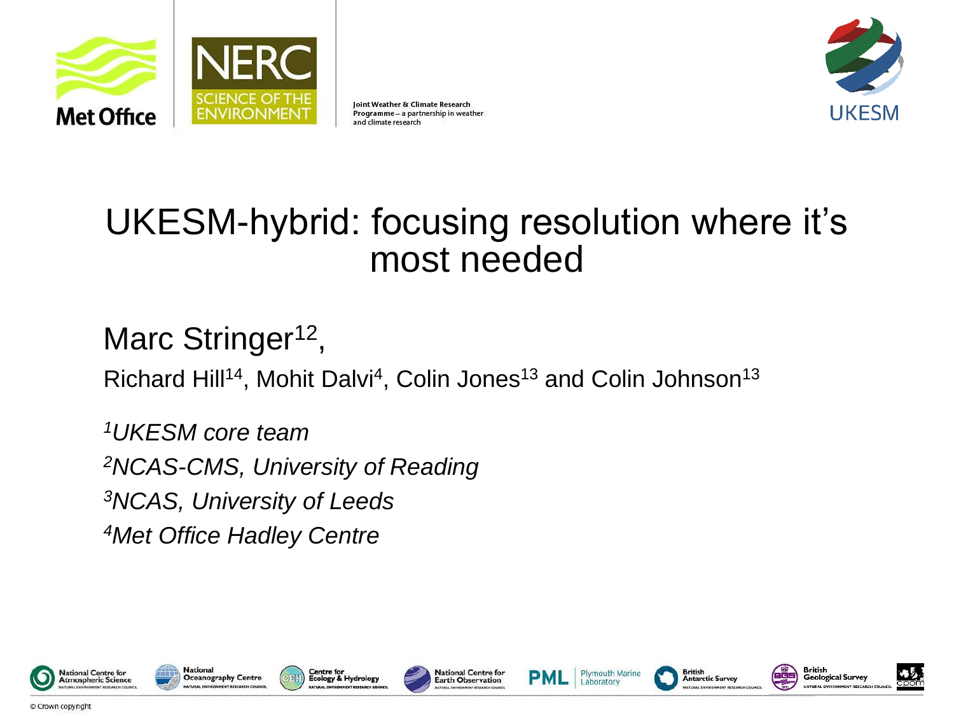

Joint Weather & Climate Research Programme - a partnership in weather and climate research



### UKESM-hybrid: focusing resolution where it's most needed

### Marc Stringer<sup>12</sup>,

Richard Hill<sup>14</sup>, Mohit Dalvi<sup>4</sup>, Colin Jones<sup>13</sup> and Colin Johnson<sup>13</sup>

*UKESM core team NCAS-CMS, University of Reading NCAS, University of Leeds Met Office Hadley Centre*

















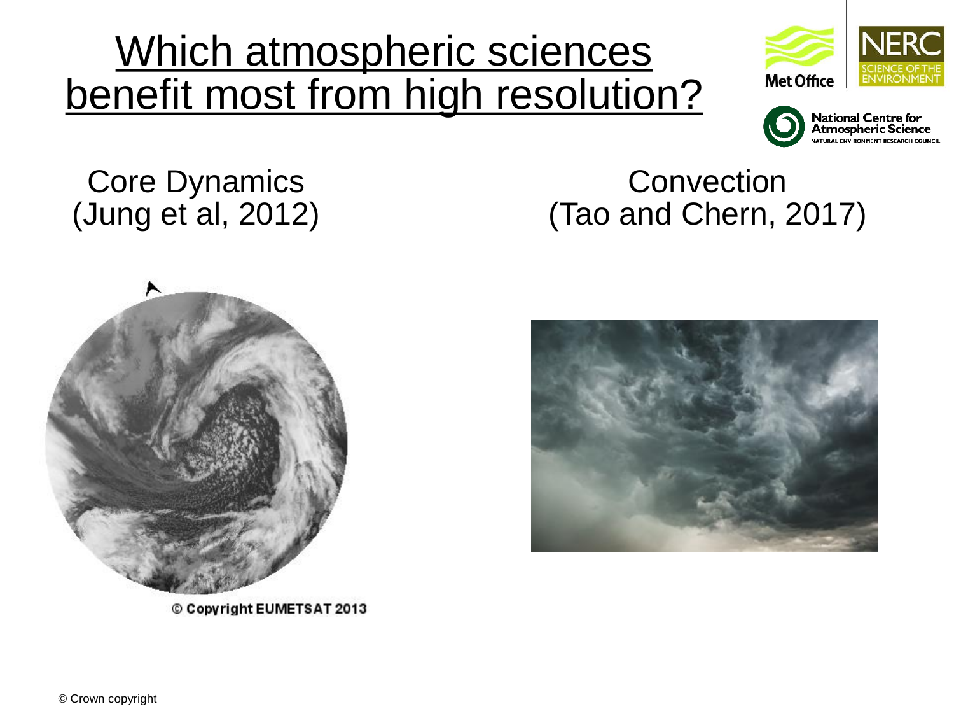## Which atmospheric sciences benefit most from high resolution?





#### Core Dynamics (Jung et al, 2012)





© Copyright EUMETSAT 2013

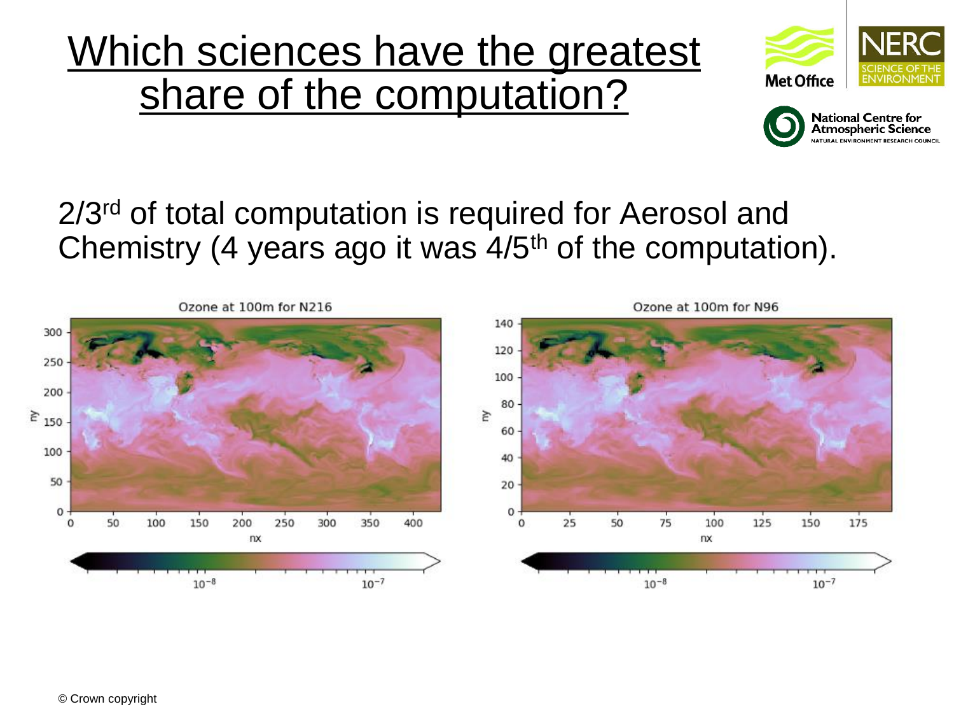## Which sciences have the greatest share of the computation?





#### 2/3<sup>rd</sup> of total computation is required for Aerosol and Chemistry (4 years ago it was 4/5th of the computation).

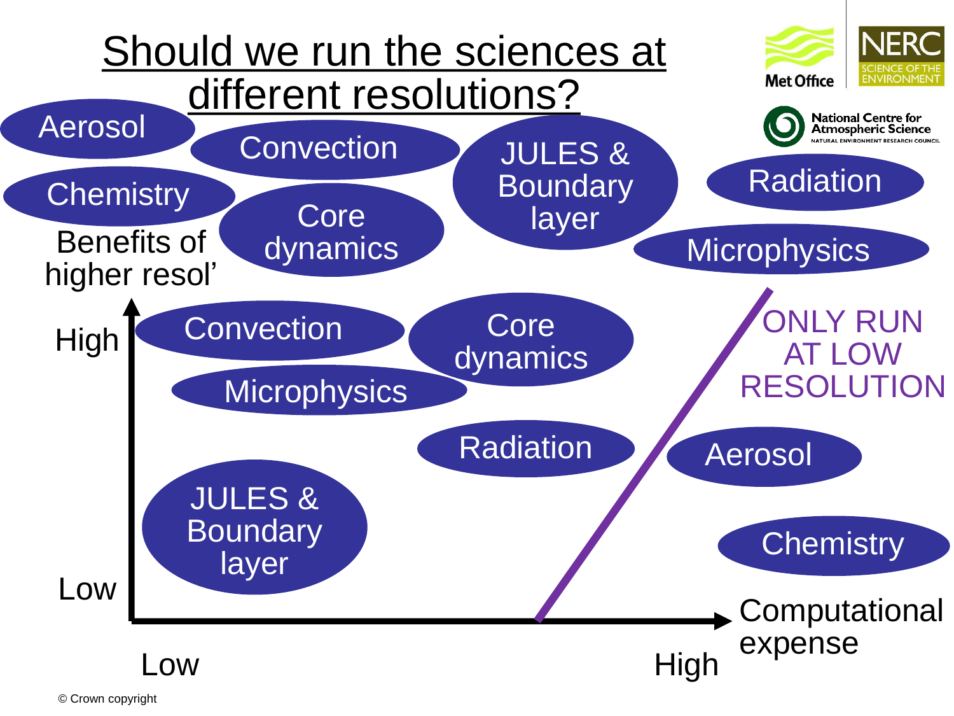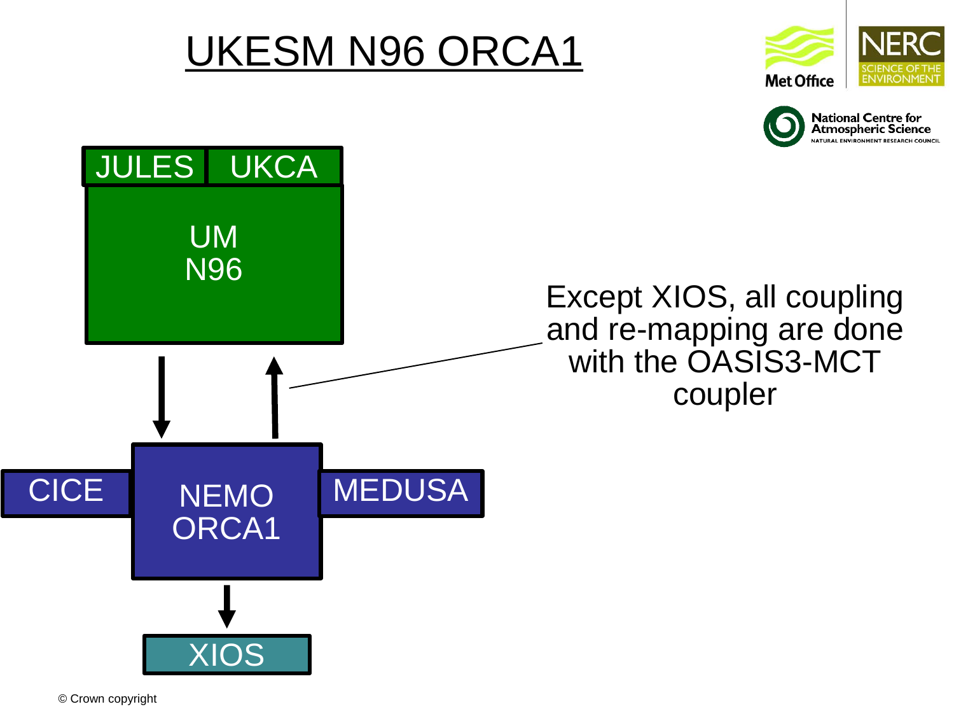## UKESM N96 ORCA1





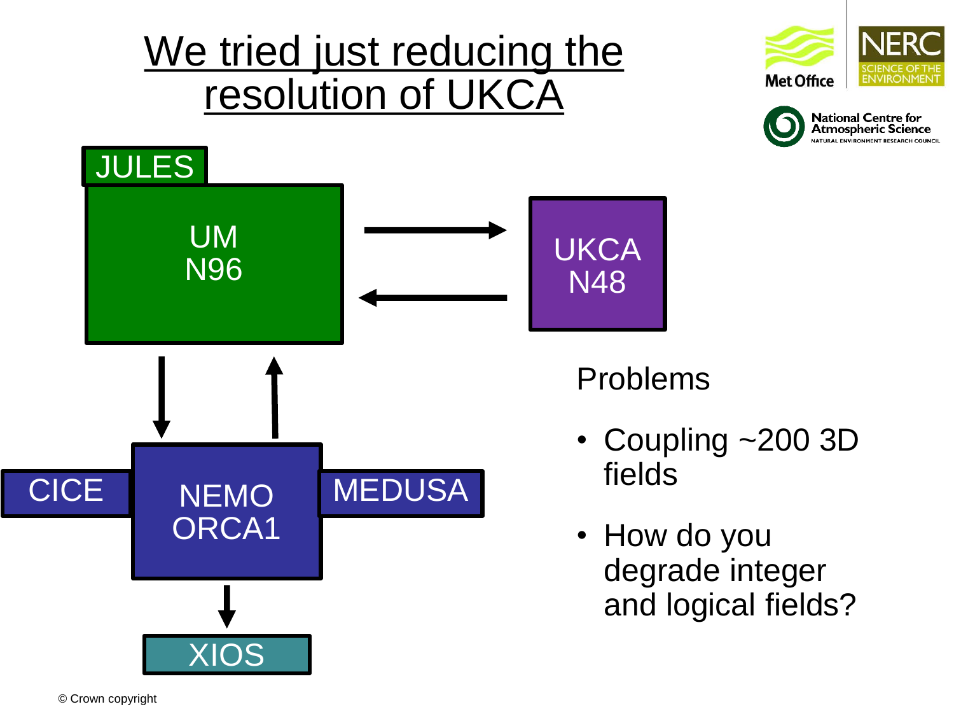## We tried just reducing the resolution of UKCA







Problems

- Coupling ~200 3D fields
- How do you degrade integer and logical fields?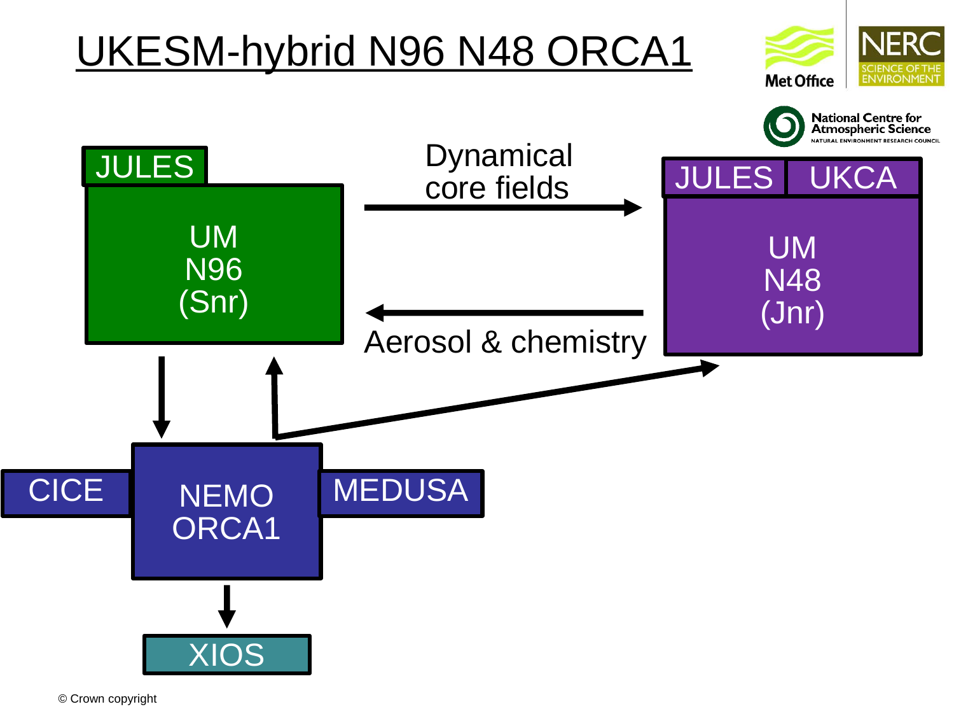# UKESM-hybrid N96 N48 ORCA1



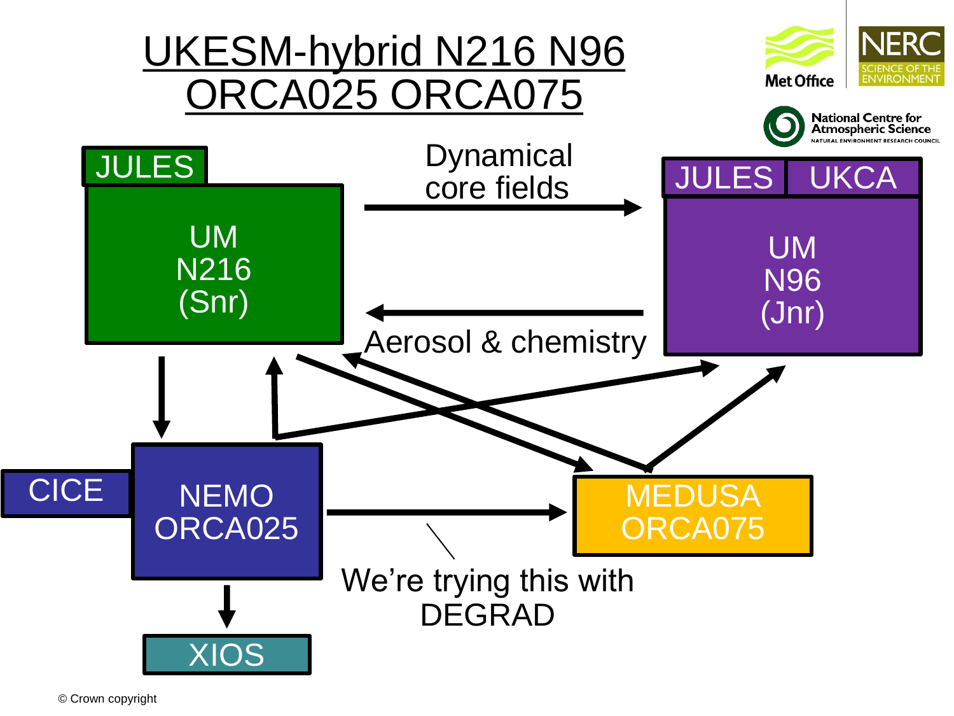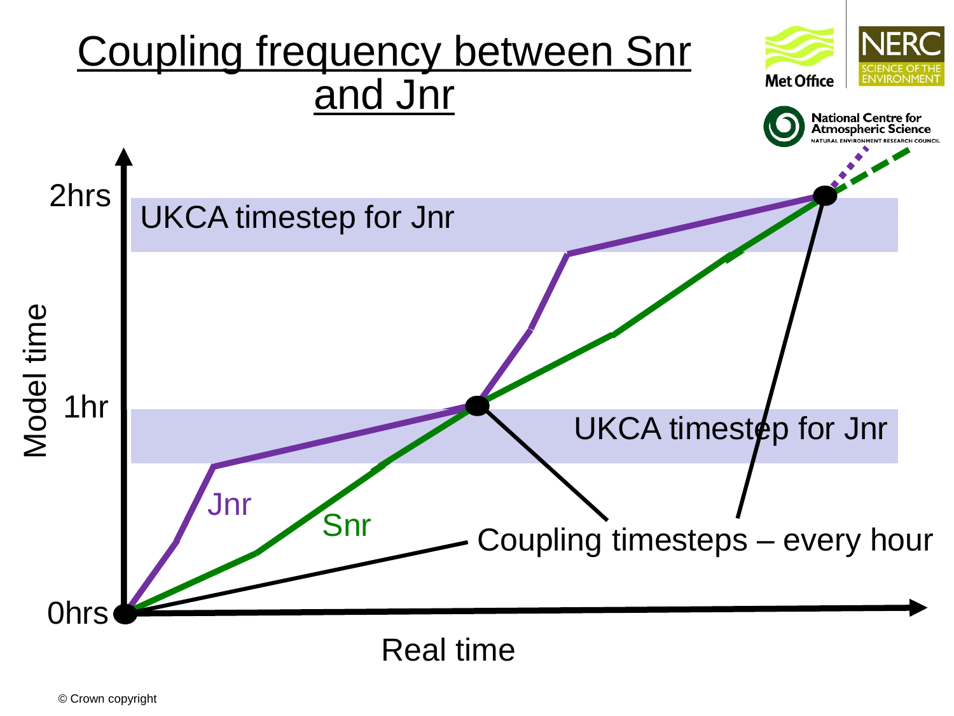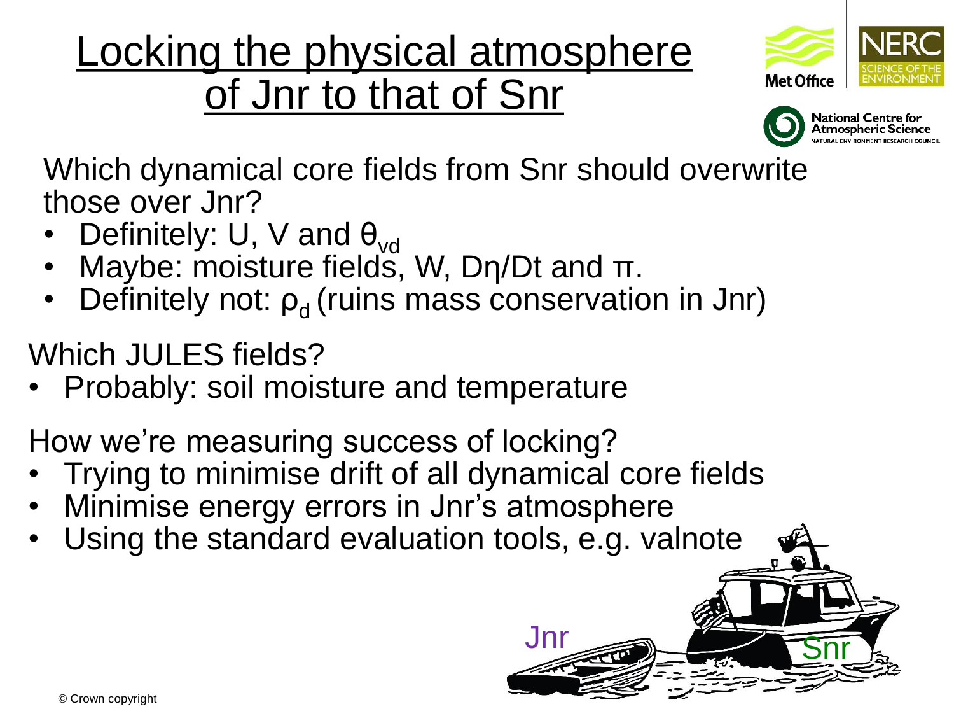## Locking the physical atmosphere of Jnr to that of Snr





Which dynamical core fields from Snr should overwrite those over Jnr?

- Definitely: U, V and  $\theta_{\text{vol}}$
- Maybe: moisture fields, W, Dη/Dt and π.
- Definitely not:  $p_d$  (ruins mass conservation in Jnr)

Which JULES fields?

• Probably: soil moisture and temperature

How we're measuring success of locking?

- Trying to minimise drift of all dynamical core fields
- Minimise energy errors in Jnr's atmosphere
- Using the standard evaluation tools, e.g. valnote

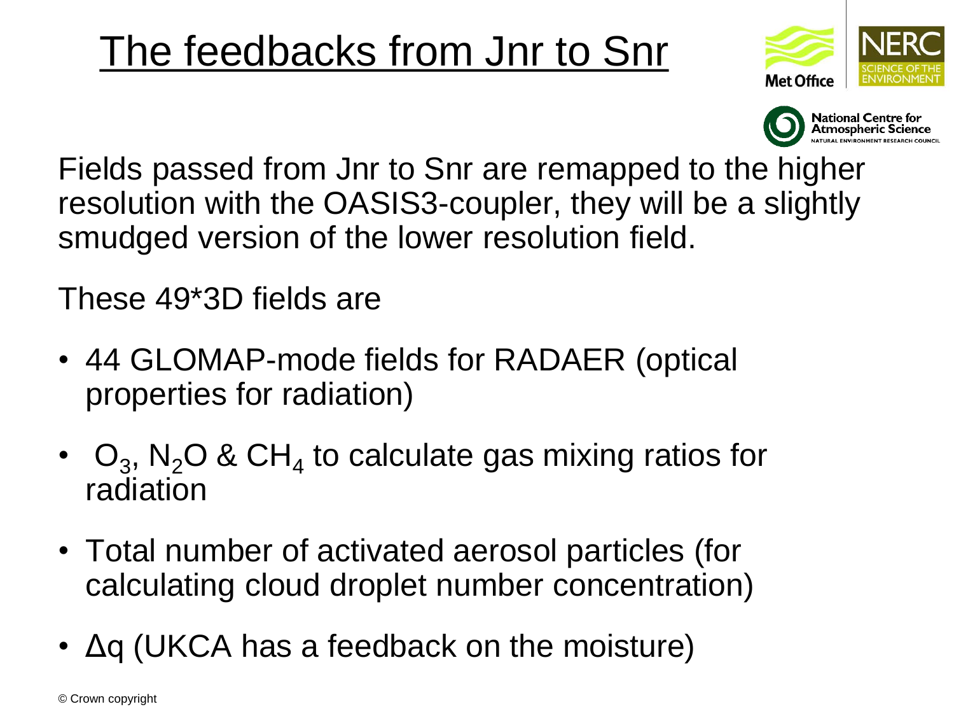## The feedbacks from Jnr to Snr





Fields passed from Jnr to Snr are remapped to the higher resolution with the OASIS3-coupler, they will be a slightly smudged version of the lower resolution field.

These 49\*3D fields are

- 44 GLOMAP-mode fields for RADAER (optical properties for radiation)
- $O_3$ , N<sub>2</sub>O & CH<sub>4</sub> to calculate gas mixing ratios for radiation
- Total number of activated aerosol particles (for calculating cloud droplet number concentration)
- Δq (UKCA has a feedback on the moisture)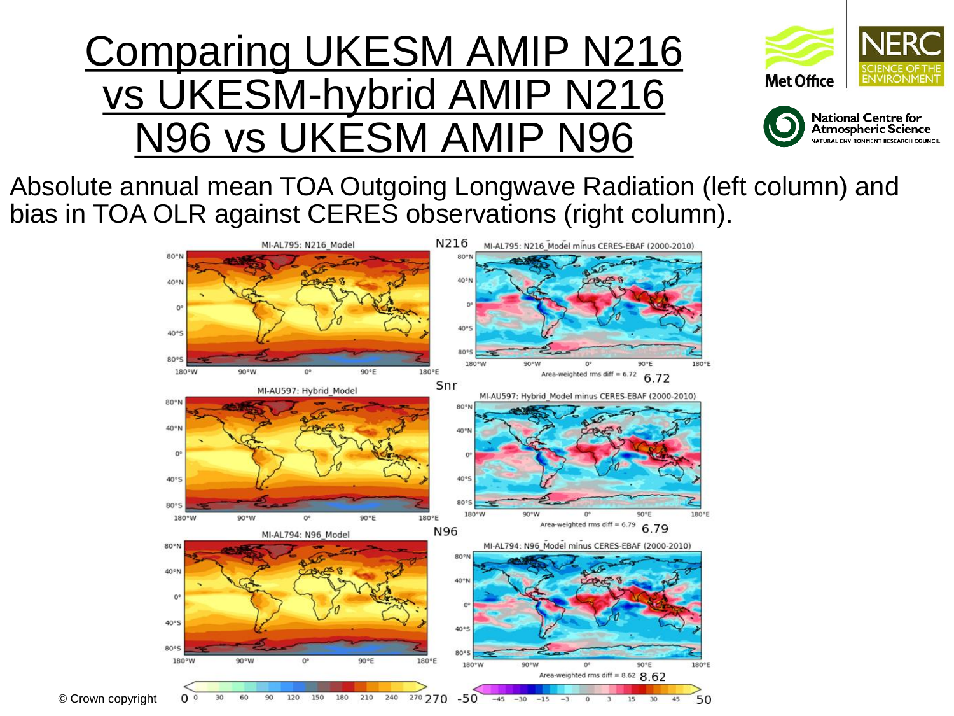## Comparing UKESM AMIP N216 vs UKESM-hybrid AMIP N216 N96 vs UKESM AMIP N96





Absolute annual mean TOA Outgoing Longwave Radiation (left column) and bias in TOA OLR against CERES observations (right column).

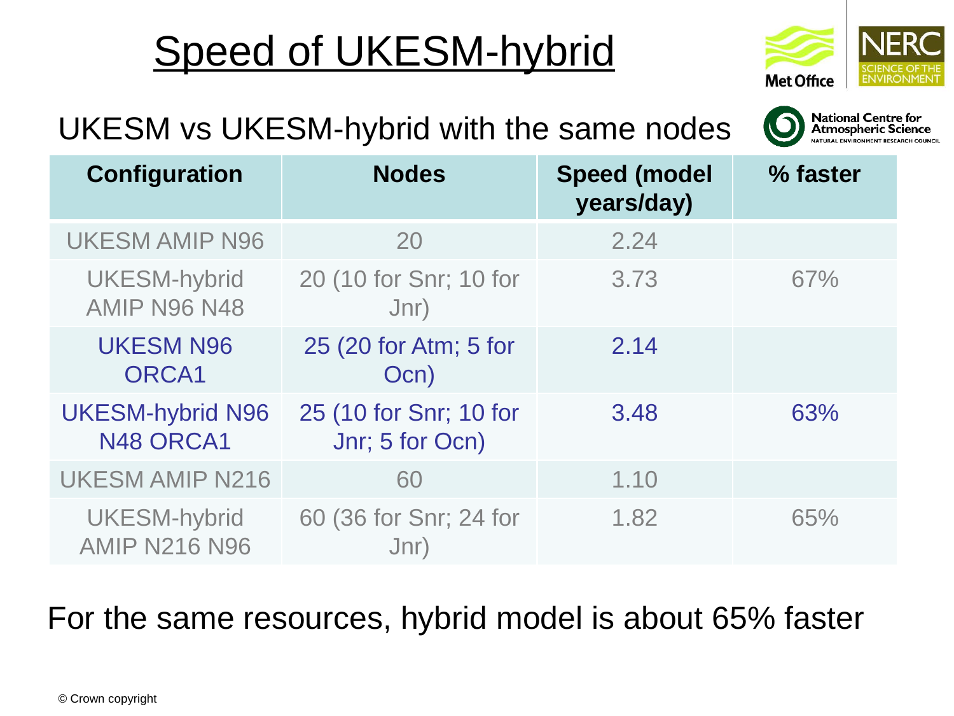# Speed of UKESM-hybrid



**National Centre for<br>Atmospheric Science** 

### UKESM vs UKESM-hybrid with the same nodes

| <b>Configuration</b>                        | <b>Nodes</b>                              | <b>Speed (model</b><br>years/day) | % faster |
|---------------------------------------------|-------------------------------------------|-----------------------------------|----------|
| <b>UKESM AMIP N96</b>                       | 20                                        | 2.24                              |          |
| <b>UKESM-hybrid</b><br><b>AMIP N96 N48</b>  | 20 (10 for Snr; 10 for<br>Jnr)            | 3.73                              | 67%      |
| <b>UKESM N96</b><br>ORCA1                   | 25 (20 for Atm; 5 for<br>Ocn)             | 2.14                              |          |
| <b>UKESM-hybrid N96</b><br>N48 ORCA1        | 25 (10 for Snr; 10 for<br>Jnr; 5 for Ocn) | 3.48                              | 63%      |
| <b>UKESM AMIP N216</b>                      | 60                                        | 1.10                              |          |
| <b>UKESM-hybrid</b><br><b>AMIP N216 N96</b> | 60 (36 for Snr; 24 for<br>Jnr)            | 1.82                              | 65%      |

### For the same resources, hybrid model is about 65% faster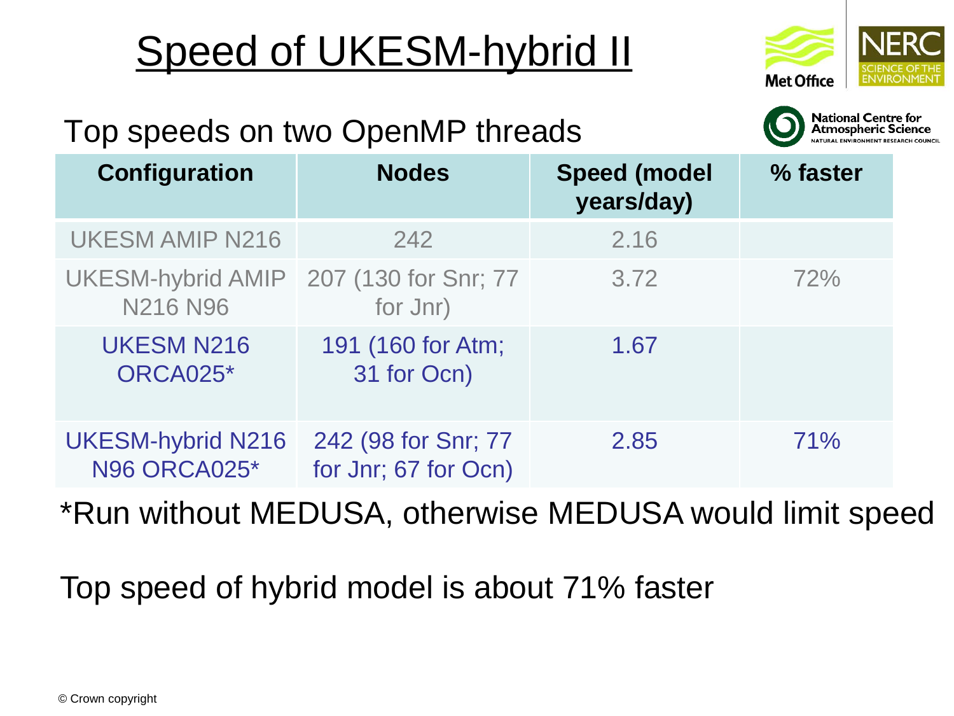# Speed of UKESM-hybrid II





### Top speeds on two OpenMP threads

| <b>Configuration</b>                            | <b>Nodes</b>                                | <b>Speed (model)</b><br>years/day) | % faster |
|-------------------------------------------------|---------------------------------------------|------------------------------------|----------|
| <b>UKESM AMIP N216</b>                          | 242                                         | 2.16                               |          |
| UKESM-hybrid AMIP<br><b>N216 N96</b>            | 207 (130 for Snr; 77<br>for Jnr)            | 3.72                               | 72%      |
| <b>UKESM N216</b><br>ORCA025*                   | 191 (160 for Atm;<br>31 for Ocn)            | 1.67                               |          |
| <b>UKESM-hybrid N216</b><br><b>N96 ORCA025*</b> | 242 (98 for Snr; 77<br>for Jnr; 67 for Ocn) | 2.85                               | 71%      |

\*Run without MEDUSA, otherwise MEDUSA would limit speed

Top speed of hybrid model is about 71% faster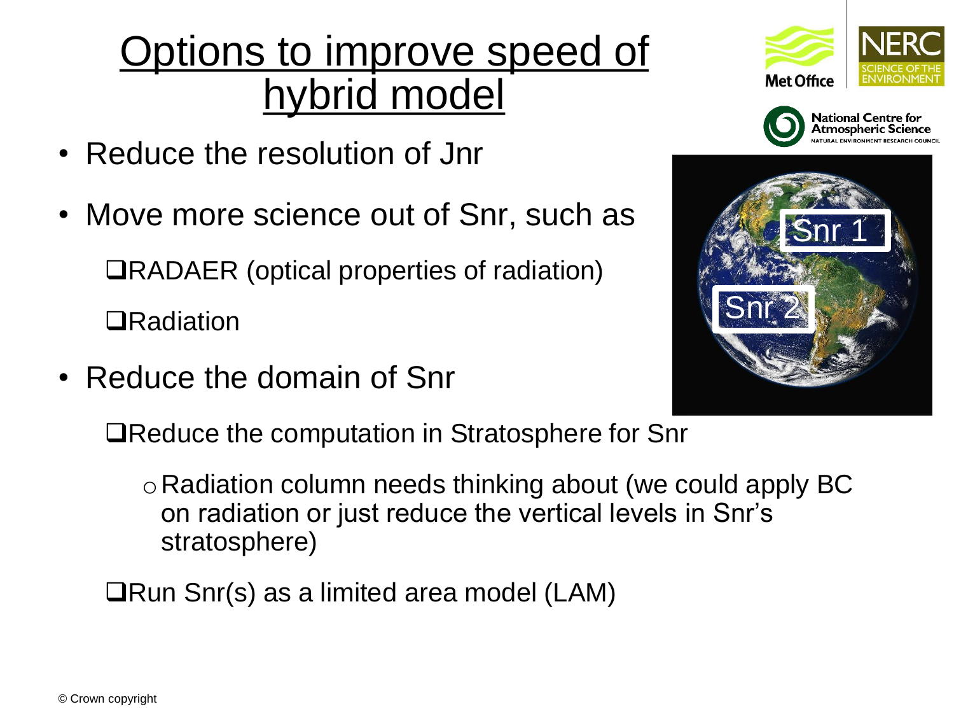## Options to improve speed of hybrid model

- Reduce the resolution of Jnr
- Move more science out of Snr, such as ❑RADAER (optical properties of radiation) ❑Radiation
- Reduce the domain of Snr







❑Reduce the computation in Stratosphere for Snr

 $\circ$  Radiation column needs thinking about (we could apply BC on radiation or just reduce the vertical levels in Snr's stratosphere)

❑Run Snr(s) as a limited area model (LAM)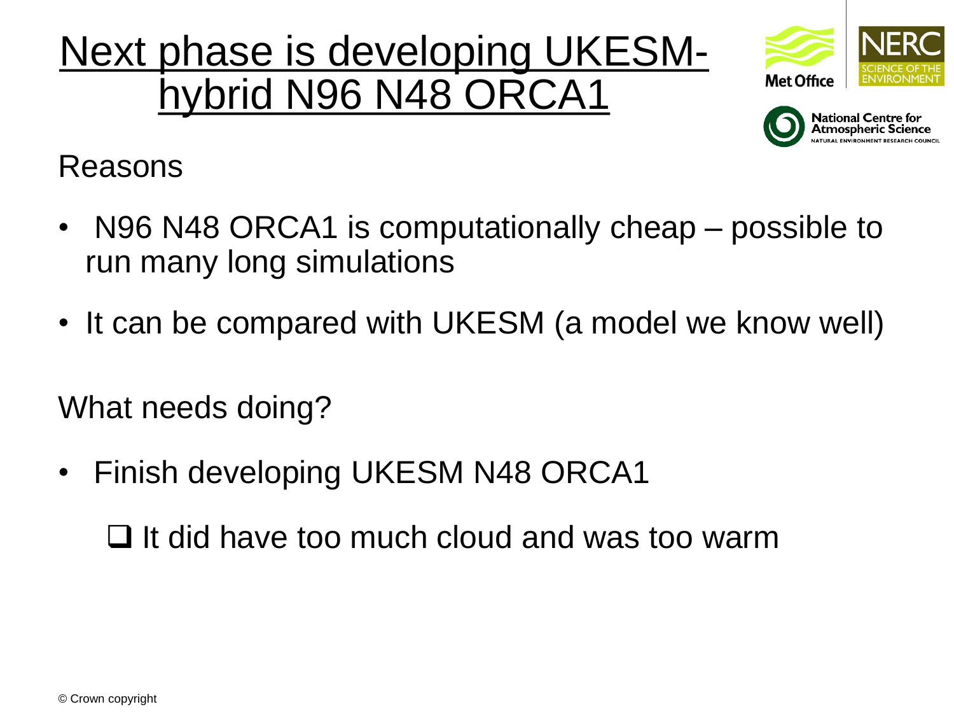## Next phase is developing UKESMhybrid N96 N48 ORCA1





Reasons

- N96 N48 ORCA1 is computationally cheap possible to run many long simulations
- It can be compared with UKESM (a model we know well)

What needs doing?

Finish developing UKESM N48 ORCA1

❑ It did have too much cloud and was too warm